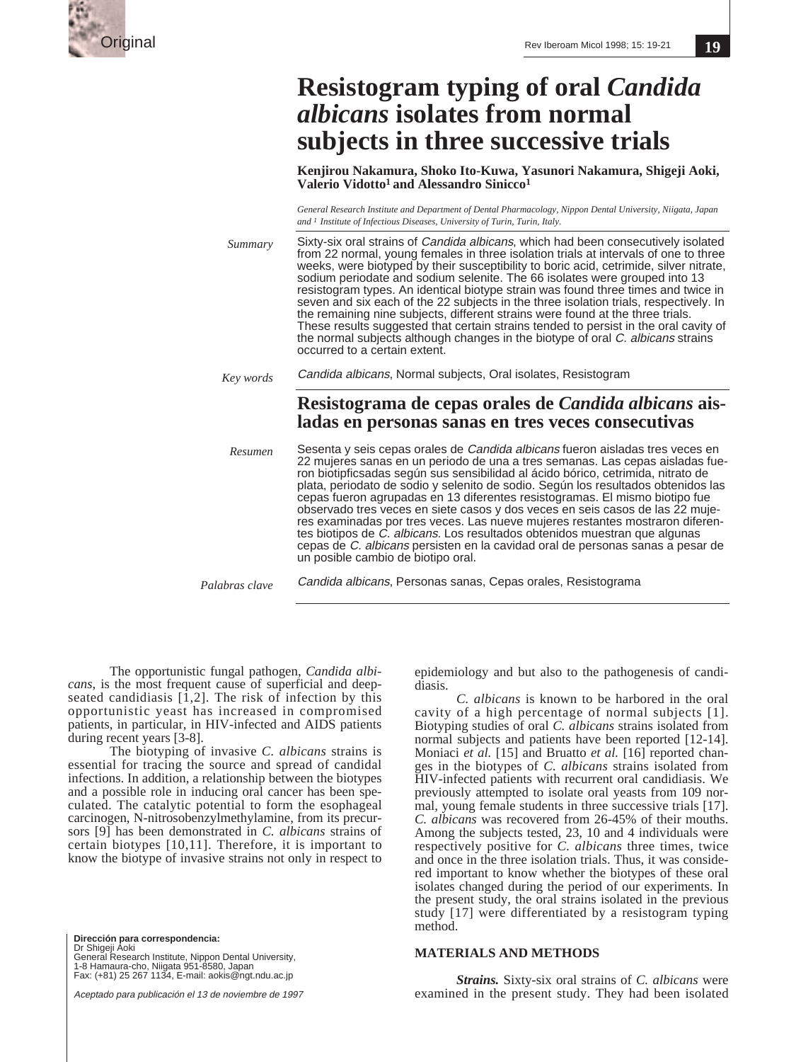

## **19**

|                | <b>Resistogram typing of oral Candida</b><br><i>albicans</i> isolates from normal<br>subjects in three successive trials                                                                                                                                                                                                                                                                                                                                                                                                                                                                                                                                                                                                                                                                                                              |  |  |  |
|----------------|---------------------------------------------------------------------------------------------------------------------------------------------------------------------------------------------------------------------------------------------------------------------------------------------------------------------------------------------------------------------------------------------------------------------------------------------------------------------------------------------------------------------------------------------------------------------------------------------------------------------------------------------------------------------------------------------------------------------------------------------------------------------------------------------------------------------------------------|--|--|--|
|                | Kenjirou Nakamura, Shoko Ito-Kuwa, Yasunori Nakamura, Shigeji Aoki,<br>Valerio Vidotto <sup>1</sup> and Alessandro Sinicco <sup>1</sup>                                                                                                                                                                                                                                                                                                                                                                                                                                                                                                                                                                                                                                                                                               |  |  |  |
|                | General Research Institute and Department of Dental Pharmacology, Nippon Dental University, Niigata, Japan<br>and <sup>1</sup> Institute of Infectious Diseases, University of Turin, Turin, Italy.                                                                                                                                                                                                                                                                                                                                                                                                                                                                                                                                                                                                                                   |  |  |  |
| Summary        | Sixty-six oral strains of <i>Candida albicans</i> , which had been consecutively isolated<br>from 22 normal, young females in three isolation trials at intervals of one to three<br>weeks, were biotyped by their susceptibility to boric acid, cetrimide, silver nitrate,<br>sodium periodate and sodium selenite. The 66 isolates were grouped into 13<br>resistogram types. An identical biotype strain was found three times and twice in<br>seven and six each of the 22 subjects in the three isolation trials, respectively. In<br>the remaining nine subjects, different strains were found at the three trials.<br>These results suggested that certain strains tended to persist in the oral cavity of<br>the normal subjects although changes in the biotype of oral C. albicans strains<br>occurred to a certain extent. |  |  |  |
| Key words      | Candida albicans, Normal subjects, Oral isolates, Resistogram                                                                                                                                                                                                                                                                                                                                                                                                                                                                                                                                                                                                                                                                                                                                                                         |  |  |  |
|                | Resistograma de cepas orales de Candida albicans ais-<br>ladas en personas sanas en tres veces consecutivas                                                                                                                                                                                                                                                                                                                                                                                                                                                                                                                                                                                                                                                                                                                           |  |  |  |
| Resumen        | Sesenta y seis cepas orales de Candida albicans fueron aisladas tres veces en<br>22 mujeres sanas en un periodo de una a tres semanas. Las cepas aisladas fue-<br>ron biotipficsadas según sus sensibilidad al ácido bórico, cetrimida, nitrato de<br>plata, periodato de sodio y selenito de sodio. Según los resultados obtenidos las<br>cepas fueron agrupadas en 13 diferentes resistogramas. El mismo biotipo fue<br>observado tres veces en siete casos y dos veces en seis casos de las 22 muje-<br>res examinadas por tres veces. Las nueve mujeres restantes mostraron diferen-<br>tes biotipos de C. albicans. Los resultados obtenidos muestran que algunas<br>cepas de C. albicans persisten en la cavidad oral de personas sanas a pesar de<br>un posible cambio de biotipo oral.                                        |  |  |  |
| Palabras clave | Candida albicans, Personas sanas, Cepas orales, Resistograma                                                                                                                                                                                                                                                                                                                                                                                                                                                                                                                                                                                                                                                                                                                                                                          |  |  |  |

The opportunistic fungal pathogen, *Candida albicans*, is the most frequent cause of superficial and deepseated candidiasis  $[1,2]$ . The risk of infection by this opportunistic yeast has increased in compromised patients, in particular, in HIV-infected and AIDS patients during recent years [3-8].

The biotyping of invasive *C. albicans* strains is essential for tracing the source and spread of candidal infections. In addition, a relationship between the biotypes and a possible role in inducing oral cancer has been speculated. The catalytic potential to form the esophageal carcinogen, N-nitrosobenzylmethylamine, from its precursors [9] has been demonstrated in *C. albicans* strains of certain biotypes [10,11]. Therefore, it is important to know the biotype of invasive strains not only in respect to

**Dirección para correspondencia:**  Dr Shigeji Aoki General Research Institute, Nippon Dental University, 1-8 Hamaura-cho, Niigata 951-8580, Japan Fax: (+81) 25 267 1134, E-mail: aokis@ngt.ndu.ac.jp

Aceptado para publicación el 13 de noviembre de 1997

epidemiology and but also to the pathogenesis of candidiasis.

*C. albicans* is known to be harbored in the oral cavity of a high percentage of normal subjects [1]. Biotyping studies of oral *C. albicans* strains isolated from normal subjects and patients have been reported [12-14]. Moniaci *et al.* [15] and Bruatto *et al.* [16] reported changes in the biotypes of *C. albicans* strains isolated from HIV-infected patients with recurrent oral candidiasis. We previously attempted to isolate oral yeasts from 109 normal, young female students in three successive trials [17]. *C. albicans* was recovered from 26-45% of their mouths. Among the subjects tested, 23, 10 and 4 individuals were respectively positive for *C. albicans* three times, twice and once in the three isolation trials. Thus, it was considered important to know whether the biotypes of these oral isolates changed during the period of our experiments. In the present study, the oral strains isolated in the previous study [17] were differentiated by a resistogram typing method.

## **MATERIALS AND METHODS**

*Strains.* Sixty-six oral strains of *C. albicans* were examined in the present study. They had been isolated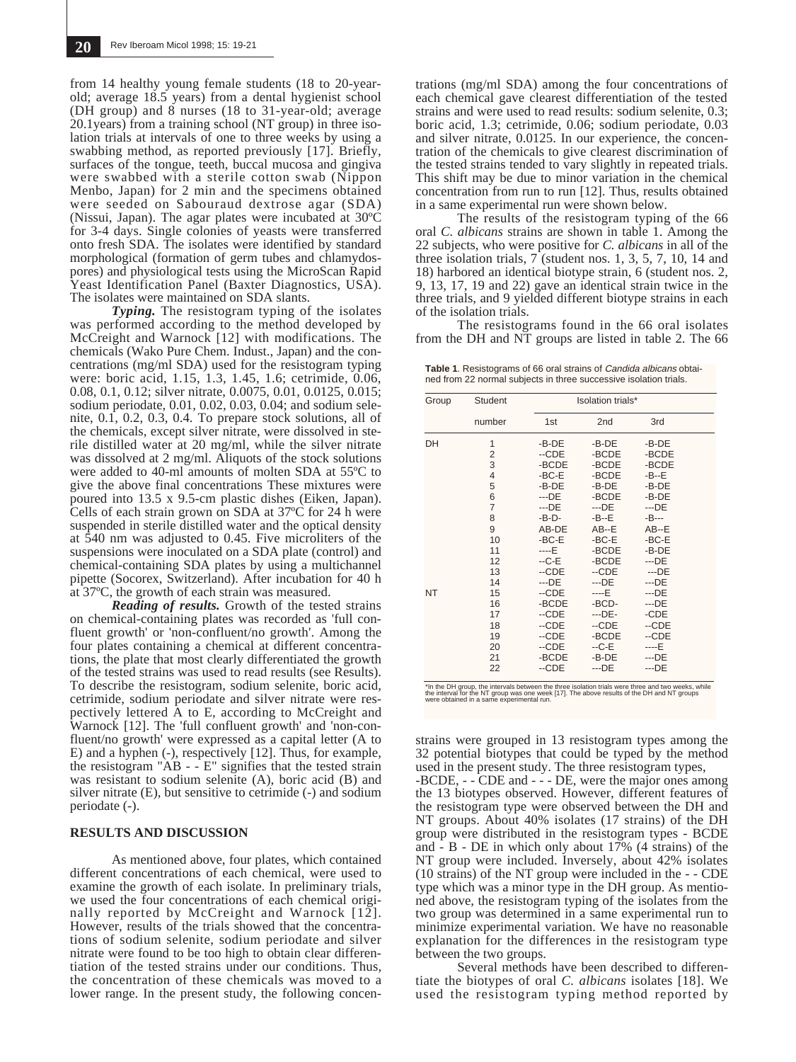from 14 healthy young female students (18 to 20-yearold; average 18.5 years) from a dental hygienist school (DH group) and 8 nurses (18 to 31-year-old; average 20.1years) from a training school (NT group) in three isolation trials at intervals of one to three weeks by using a swabbing method, as reported previously [17]. Briefly, surfaces of the tongue, teeth, buccal mucosa and gingiva were swabbed with a sterile cotton swab (Nippon Menbo, Japan) for 2 min and the specimens obtained were seeded on Sabouraud dextrose agar (SDA) (Nissui, Japan). The agar plates were incubated at 30ºC for 3-4 days. Single colonies of yeasts were transferred onto fresh SDA. The isolates were identified by standard morphological (formation of germ tubes and chlamydospores) and physiological tests using the MicroScan Rapid Yeast Identification Panel (Baxter Diagnostics, USA). The isolates were maintained on SDA slants.

*Typing.* The resistogram typing of the isolates was performed according to the method developed by McCreight and Warnock [12] with modifications. The chemicals (Wako Pure Chem. Indust., Japan) and the concentrations (mg/ml SDA) used for the resistogram typing were: boric acid, 1.15, 1.3, 1.45, 1.6; cetrimide, 0.06, 0.08, 0.1, 0.12; silver nitrate, 0.0075, 0.01, 0.0125, 0.015; sodium periodate, 0.01, 0.02, 0.03, 0.04; and sodium selenite, 0.1, 0.2, 0.3, 0.4. To prepare stock solutions, all of the chemicals, except silver nitrate, were dissolved in sterile distilled water at 20 mg/ml, while the silver nitrate was dissolved at 2 mg/ml. Aliquots of the stock solutions were added to 40-ml amounts of molten SDA at 55ºC to give the above final concentrations These mixtures were poured into 13.5 x 9.5-cm plastic dishes (Eiken, Japan). Cells of each strain grown on SDA at 37ºC for 24 h were suspended in sterile distilled water and the optical density at 540 nm was adjusted to 0.45. Five microliters of the suspensions were inoculated on a SDA plate (control) and chemical-containing SDA plates by using a multichannel pipette (Socorex, Switzerland). After incubation for 40 h at 37ºC, the growth of each strain was measured.

*Reading of results.* Growth of the tested strains on chemical-containing plates was recorded as 'full confluent growth' or 'non-confluent/no growth'. Among the four plates containing a chemical at different concentrations, the plate that most clearly differentiated the growth of the tested strains was used to read results (see Results). To describe the resistogram, sodium selenite, boric acid, cetrimide, sodium periodate and silver nitrate were respectively lettered A to E, according to McCreight and Warnock [12]. The 'full confluent growth' and 'non-confluent/no growth' were expressed as a capital letter (A to E) and a hyphen (-), respectively [12]. Thus, for example, the resistogram "AB - - E" signifies that the tested strain was resistant to sodium selenite (A), boric acid (B) and silver nitrate (E), but sensitive to cetrimide (-) and sodium periodate (-).

## **RESULTS AND DISCUSSION**

As mentioned above, four plates, which contained different concentrations of each chemical, were used to examine the growth of each isolate. In preliminary trials, we used the four concentrations of each chemical originally reported by McCreight and Warnock [12]. However, results of the trials showed that the concentrations of sodium selenite, sodium periodate and silver nitrate were found to be too high to obtain clear differentiation of the tested strains under our conditions. Thus, the concentration of these chemicals was moved to a lower range. In the present study, the following concen-

trations (mg/ml SDA) among the four concentrations of each chemical gave clearest differentiation of the tested strains and were used to read results: sodium selenite, 0.3; boric acid, 1.3; cetrimide, 0.06; sodium periodate, 0.03 and silver nitrate, 0.0125. In our experience, the concentration of the chemicals to give clearest discrimination of the tested strains tended to vary slightly in repeated trials. This shift may be due to minor variation in the chemical concentration from run to run [12]. Thus, results obtained in a same experimental run were shown below.

The results of the resistogram typing of the 66 oral *C. albicans* strains are shown in table 1. Among the 22 subjects, who were positive for *C. albicans* in all of the three isolation trials,  $7$  (student nos. 1, 3, 5, 7, 10, 14 and 18) harbored an identical biotype strain, 6 (student nos. 2, 9, 13, 17, 19 and 22) gave an identical strain twice in the three trials, and 9 yielded different biotype strains in each of the isolation trials.

The resistograms found in the 66 oral isolates from the DH and NT groups are listed in table 2. The 66

**Table 1**. Resistograms of 66 oral strains of Candida albicans obtained from 22 normal subjects in three successive isolation trials.

| Group     | Student        | Isolation trials* |                 |          |
|-----------|----------------|-------------------|-----------------|----------|
|           | number         | 1st               | 2 <sub>nd</sub> | 3rd      |
| DH        | 1              | -B-DE             | $-B-DE$         | $-B-DE$  |
|           | $\overline{2}$ | --CDE             | -BCDE           | -BCDE    |
|           | 3              | -BCDE             | -BCDE           | -BCDE    |
|           | $\overline{4}$ | -BC-E             | -BCDE           | $-B - E$ |
|           | 5              | -B-DE             | $-B-DE$         | $-B-DE$  |
|           | 6              | $-$ DE            | -BCDE           | $-B-DE$  |
|           | $\overline{7}$ | $-$ DE            | $-$ DE          | $-$ DE   |
|           | 8              | $-B-D-$           | -B--E           | $-B--$   |
|           | 9              | AB-DE             | $AB - E$        | $AB - E$ |
|           | 10             | -BC-E             | $-BC-E$         | $-BC-E$  |
|           | 11             | $---E$            | -BCDE           | $-B-DE$  |
|           | 12             | $-C-E$            | -BCDE           | $-$ DE   |
|           | 13             | $-CDE$            | $-CDE$          | $-$ DE   |
|           | 14             | $-$ DE            | $-DE$           | $-$ DE   |
| <b>NT</b> | 15             | --CDE             | ----E           | $-$ DE   |
|           | 16             | -BCDE             | -BCD-           | $-$ DE   |
|           | 17             | $-CDE$            | $-$ -DE-        | -CDE     |
|           | 18             | --CDE             | $-CDE$          | --CDE    |
|           | 19             | --CDE             | -BCDE           | --CDE    |
|           | 20             | $-CDE$            | $-C-E$          | $---E$   |
|           | 21             | -BCDE             | -B-DE           | $-$ DE   |
|           | 22             | --CDE             | $-$ DE          | $-$ DE   |

"In the DH group, the intervals between the three isolation trials were three and two weeks, while<br>the interval for the NT group was one week [17]. The above results of the DH and NT groups<br>were obtained in a same experime

strains were grouped in 13 resistogram types among the 32 potential biotypes that could be typed by the method used in the present study. The three resistogram types, -BCDE, - - CDE and - - - DE, were the major ones among the 13 biotypes observed. However, different features of the resistogram type were observed between the DH and NT groups. About 40% isolates (17 strains) of the DH group were distributed in the resistogram types - BCDE and - B - DE in which only about 17% (4 strains) of the NT group were included. Inversely, about 42% isolates (10 strains) of the NT group were included in the - - CDE type which was a minor type in the DH group. As mentioned above, the resistogram typing of the isolates from the two group was determined in a same experimental run to minimize experimental variation. We have no reasonable explanation for the differences in the resistogram type between the two groups.

Several methods have been described to differentiate the biotypes of oral *C. albicans* isolates [18]. We used the resistogram typing method reported by